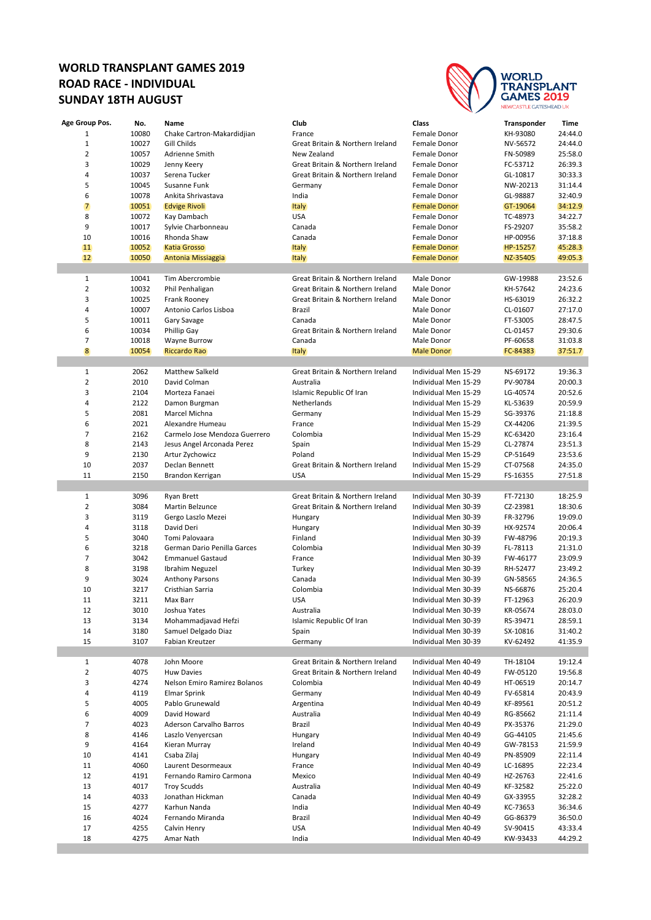## **WORLD TRANSPLANT GAMES 2019 ROAD RACE - INDIVIDUAL SUNDAY 18TH AUGUST**



| Age Group Pos. | No.   | Name                          | Club                             | Class                | Transponder | <b>Time</b> |
|----------------|-------|-------------------------------|----------------------------------|----------------------|-------------|-------------|
| $\mathbf{1}$   | 10080 | Chake Cartron-Makardidjian    | France                           | Female Donor         | KH-93080    | 24:44.0     |
| $\mathbf{1}$   | 10027 | Gill Childs                   | Great Britain & Northern Ireland | Female Donor         | NV-56572    | 24:44.0     |
| $\overline{2}$ | 10057 | Adrienne Smith                | New Zealand                      | Female Donor         | FN-50989    | 25:58.0     |
| 3              | 10029 | Jenny Keery                   | Great Britain & Northern Ireland | Female Donor         | FC-53712    | 26:39.3     |
| 4              | 10037 | Serena Tucker                 | Great Britain & Northern Ireland | Female Donor         | GL-10817    | 30:33.3     |
| 5              | 10045 |                               |                                  |                      |             | 31:14.4     |
|                |       | Susanne Funk                  | Germany                          | Female Donor         | NW-20213    |             |
| 6              | 10078 | Ankita Shrivastava            | India                            | Female Donor         | GL-98887    | 32:40.9     |
| 7              | 10051 | <b>Edvige Rivoli</b>          | <b>Italy</b>                     | <b>Female Donor</b>  | GT-19064    | 34:12.9     |
| 8              | 10072 | Kay Dambach                   | <b>USA</b>                       | Female Donor         | TC-48973    | 34:22.7     |
| 9              | 10017 | Sylvie Charbonneau            | Canada                           | Female Donor         | FS-29207    | 35:58.2     |
| 10             | 10016 | Rhonda Shaw                   | Canada                           | Female Donor         | HP-00956    | 37:18.8     |
| 11             | 10052 | <b>Katia Grosso</b>           | <b>Italy</b>                     | <b>Female Donor</b>  | HP-15257    | 45:28.3     |
| 12             | 10050 | Antonia Missiaggia            | <b>Italy</b>                     | <b>Female Donor</b>  | NZ-35405    | 49:05.3     |
|                |       |                               |                                  |                      |             |             |
| $\mathbf{1}$   | 10041 | Tim Abercrombie               | Great Britain & Northern Ireland | Male Donor           | GW-19988    | 23:52.6     |
| $\overline{2}$ | 10032 | Phil Penhaligan               | Great Britain & Northern Ireland | Male Donor           | KH-57642    | 24:23.6     |
| 3              | 10025 | Frank Rooney                  | Great Britain & Northern Ireland | Male Donor           | HS-63019    | 26:32.2     |
| 4              | 10007 | Antonio Carlos Lisboa         | Brazil                           | Male Donor           | CL-01607    | 27:17.0     |
| 5              | 10011 | Gary Savage                   | Canada                           | Male Donor           | FT-53005    | 28:47.5     |
| 6              | 10034 | Phillip Gay                   | Great Britain & Northern Ireland | Male Donor           | CL-01457    | 29:30.6     |
| 7              | 10018 | Wayne Burrow                  | Canada                           | Male Donor           | PF-60658    | 31:03.8     |
| 8              | 10054 | <b>Riccardo Rao</b>           |                                  | <b>Male Donor</b>    | FC-84383    | 37.51.7     |
|                |       |                               | <b>Italy</b>                     |                      |             |             |
|                |       |                               |                                  | Individual Men 15-29 |             |             |
| 1              | 2062  | <b>Matthew Salkeld</b>        | Great Britain & Northern Ireland |                      | NS-69172    | 19:36.3     |
| $\mathbf 2$    | 2010  | David Colman                  | Australia                        | Individual Men 15-29 | PV-90784    | 20:00.3     |
| 3              | 2104  | Morteza Fanaei                | Islamic Republic Of Iran         | Individual Men 15-29 | LG-40574    | 20:52.6     |
| 4              | 2122  | Damon Burgman                 | Netherlands                      | Individual Men 15-29 | KL-53639    | 20:59.9     |
| 5              | 2081  | Marcel Michna                 | Germany                          | Individual Men 15-29 | SG-39376    | 21:18.8     |
| 6              | 2021  | Alexandre Humeau              | France                           | Individual Men 15-29 | CX-44206    | 21:39.5     |
| 7              | 2162  | Carmelo Jose Mendoza Guerrero | Colombia                         | Individual Men 15-29 | KC-63420    | 23:16.4     |
| 8              | 2143  | Jesus Angel Arconada Perez    | Spain                            | Individual Men 15-29 | CL-27874    | 23:51.3     |
| 9              | 2130  | Artur Zychowicz               | Poland                           | Individual Men 15-29 | CP-51649    | 23:53.6     |
| 10             | 2037  | Declan Bennett                | Great Britain & Northern Ireland | Individual Men 15-29 | CT-07568    | 24:35.0     |
| 11             | 2150  | Brandon Kerrigan              | <b>USA</b>                       | Individual Men 15-29 | FS-16355    | 27:51.8     |
|                |       |                               |                                  |                      |             |             |
| 1              | 3096  | Ryan Brett                    | Great Britain & Northern Ireland | Individual Men 30-39 | FT-72130    | 18:25.9     |
| $\overline{2}$ | 3084  | Martin Belzunce               | Great Britain & Northern Ireland | Individual Men 30-39 | CZ-23981    | 18:30.6     |
| 3              | 3119  | Gergo Laszlo Mezei            | Hungary                          | Individual Men 30-39 | FR-32796    | 19:09.0     |
| 4              | 3118  | David Deri                    | Hungary                          | Individual Men 30-39 | HX-92574    | 20:06.4     |
|                |       |                               |                                  |                      |             |             |
| 5              | 3040  | Tomi Palovaara                | Finland                          | Individual Men 30-39 | FW-48796    | 20:19.3     |
| 6              | 3218  | German Dario Penilla Garces   | Colombia                         | Individual Men 30-39 | FL-78113    | 21:31.0     |
| 7              | 3042  | <b>Emmanuel Gastaud</b>       | France                           | Individual Men 30-39 | FW-46177    | 23:09.9     |
| 8              | 3198  | Ibrahim Neguzel               | Turkey                           | Individual Men 30-39 | RH-52477    | 23:49.2     |
| 9              | 3024  | <b>Anthony Parsons</b>        | Canada                           | Individual Men 30-39 | GN-58565    | 24:36.5     |
| 10             | 3217  | Cristhian Sarria              | Colombia                         | Individual Men 30-39 | NS-66876    | 25:20.4     |
| 11             | 3211  | Max Barr                      | <b>USA</b>                       | Individual Men 30-39 | FT-12963    | 26:20.9     |
| 12             | 3010  | Joshua Yates                  | Australia                        | Individual Men 30-39 | KR-05674    | 28:03.0     |
| 13             | 3134  | Mohammadjavad Hefzi           | Islamic Republic Of Iran         | Individual Men 30-39 | RS-39471    | 28:59.1     |
| 14             | 3180  | Samuel Delgado Diaz           | Spain                            | Individual Men 30-39 | SX-10816    | 31:40.2     |
| 15             | 3107  | Fabian Kreutzer               | Germany                          | Individual Men 30-39 | KV-62492    | 41:35.9     |
|                |       |                               |                                  |                      |             |             |
| $\mathbf{1}$   | 4078  | John Moore                    | Great Britain & Northern Ireland | Individual Men 40-49 | TH-18104    | 19:12.4     |
| $\overline{2}$ | 4075  | <b>Huw Davies</b>             | Great Britain & Northern Ireland | Individual Men 40-49 | FW-05120    | 19:56.8     |
| 3              | 4274  | Nelson Emiro Ramirez Bolanos  | Colombia                         | Individual Men 40-49 | HT-06519    | 20:14.7     |
| 4              | 4119  | <b>Elmar Sprink</b>           | Germany                          | Individual Men 40-49 | FV-65814    | 20:43.9     |
| 5              | 4005  | Pablo Grunewald               | Argentina                        | Individual Men 40-49 | KF-89561    | 20:51.2     |
| 6              | 4009  | David Howard                  | Australia                        | Individual Men 40-49 | RG-85662    | 21:11.4     |
| 7              | 4023  | Aderson Carvalho Barros       | Brazil                           | Individual Men 40-49 | PX-35376    | 21:29.0     |
|                |       |                               |                                  |                      |             |             |
| 8              | 4146  | Laszlo Venyercsan             | Hungary                          | Individual Men 40-49 | GG-44105    | 21:45.6     |
| 9              | 4164  | Kieran Murray                 | Ireland                          | Individual Men 40-49 | GW-78153    | 21:59.9     |
| 10             | 4141  | Csaba Zilaj                   | Hungary                          | Individual Men 40-49 | PN-85909    | 22:11.4     |
| 11             | 4060  | Laurent Desormeaux            | France                           | Individual Men 40-49 | LC-16895    | 22:23.4     |
| 12             | 4191  | Fernando Ramiro Carmona       | Mexico                           | Individual Men 40-49 | HZ-26763    | 22:41.6     |
| 13             | 4017  | <b>Troy Scudds</b>            | Australia                        | Individual Men 40-49 | KF-32582    | 25:22.0     |
| 14             | 4033  | Jonathan Hickman              | Canada                           | Individual Men 40-49 | GX-33955    | 32:28.2     |
| 15             | 4277  | Karhun Nanda                  | India                            | Individual Men 40-49 | KC-73653    | 36:34.6     |
| 16             | 4024  | Fernando Miranda              | Brazil                           | Individual Men 40-49 | GG-86379    | 36:50.0     |
| 17             | 4255  | Calvin Henry                  | <b>USA</b>                       | Individual Men 40-49 | SV-90415    | 43.33.4     |
| 18             | 4275  | Amar Nath                     | India                            | Individual Men 40-49 | KW-93433    | 44:29.2     |
|                |       |                               |                                  |                      |             |             |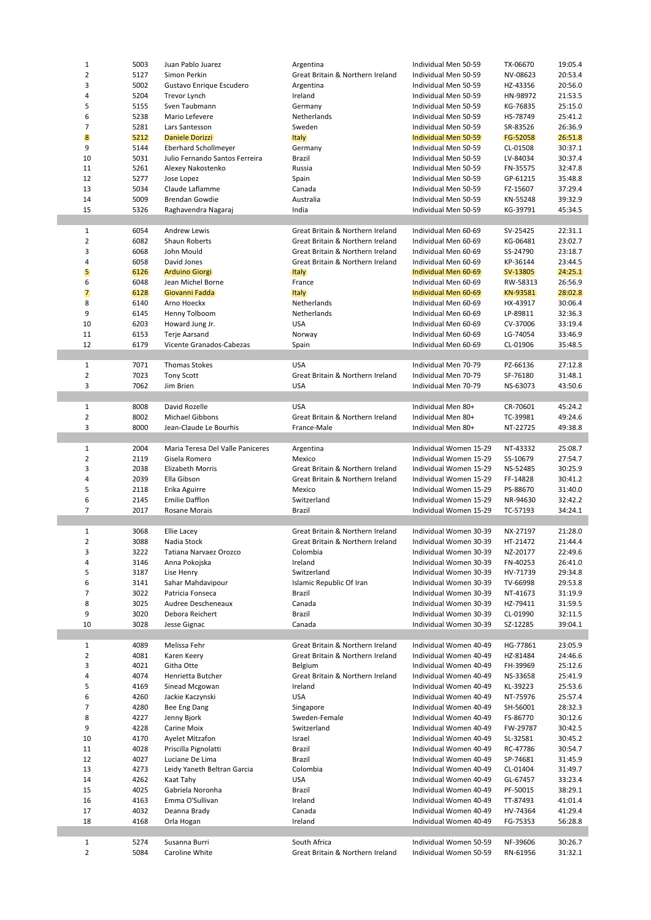|                         | 5003 | Juan Pablo Juarez                | Argentina                        | Individual Men 50-59                         | TX-06670 | 19:05.4                                                        |
|-------------------------|------|----------------------------------|----------------------------------|----------------------------------------------|----------|----------------------------------------------------------------|
| $\overline{2}$          | 5127 | Simon Perkin                     | Great Britain & Northern Ireland | Individual Men 50-59                         | NV-08623 | 20:53.4                                                        |
| 3                       | 5002 | Gustavo Enrique Escudero         | Argentina                        | Individual Men 50-59                         | HZ-43356 | 20:56.0                                                        |
| 4                       | 5204 | Trevor Lynch                     | Ireland                          | Individual Men 50-59                         | HN-98972 | 21:53.5                                                        |
| 5                       | 5155 | Sven Taubmann                    | Germany                          | Individual Men 50-59                         | KG-76835 | 25:15.0                                                        |
| 6                       | 5238 | Mario Lefevere                   | Netherlands                      | Individual Men 50-59                         | HS-78749 | 25:41.2                                                        |
| 7                       | 5281 | Lars Santesson                   | Sweden                           | Individual Men 50-59                         | SR-83526 | 26:36.9                                                        |
| $\boldsymbol{8}$        | 5212 | <b>Daniele Dorizzi</b>           | <b>Italy</b>                     | Individual Men 50-59                         | FG-52058 | 26:51.8                                                        |
| 9                       | 5144 | Eberhard Schollmeyer             | Germany                          | Individual Men 50-59                         | CL-01508 | 30:37.1                                                        |
| 10                      | 5031 | Julio Fernando Santos Ferreira   | Brazil                           | Individual Men 50-59                         | LV-84034 | 30:37.4                                                        |
| 11                      | 5261 | Alexey Nakostenko                | Russia                           | Individual Men 50-59                         | FN-35575 | 32:47.8                                                        |
| 12                      | 5277 | Jose Lopez                       | Spain                            | Individual Men 50-59                         | GP-61215 | 35:48.8                                                        |
| 13                      | 5034 | Claude Laflamme                  | Canada                           | Individual Men 50-59                         | FZ-15607 | 37:29.4                                                        |
| 14                      | 5009 | <b>Brendan Gowdie</b>            | Australia                        | Individual Men 50-59                         | KN-55248 | 39:32.9                                                        |
| 15                      | 5326 | Raghavendra Nagaraj              | India                            | Individual Men 50-59                         | KG-39791 | 45:34.5                                                        |
|                         |      |                                  |                                  |                                              |          |                                                                |
| 1                       | 6054 | <b>Andrew Lewis</b>              | Great Britain & Northern Ireland | Individual Men 60-69                         | SV-25425 | 22:31.1                                                        |
| $\mathbf 2$             | 6082 | Shaun Roberts                    | Great Britain & Northern Ireland | Individual Men 60-69                         | KG-06481 | 23:02.7                                                        |
| 3                       | 6068 | John Mould                       | Great Britain & Northern Ireland | Individual Men 60-69                         | SS-24790 | 23:18.7                                                        |
| 4                       | 6058 | David Jones                      | Great Britain & Northern Ireland | Individual Men 60-69                         | KP-36144 | 23:44.5                                                        |
| 5                       | 6126 | <b>Arduino Giorgi</b>            | <b>Italy</b>                     | Individual Men 60-69                         | SV-13805 | 24:25.1                                                        |
| 6                       | 6048 | Jean Michel Borne                | France                           | Individual Men 60-69                         | RW-58313 | 26:56.9                                                        |
|                         |      | Giovanni Fadda                   |                                  |                                              |          | 28:02.8                                                        |
| 7<br>8                  | 6128 |                                  | <b>Italy</b>                     | Individual Men 60-69<br>Individual Men 60-69 | KN-93581 | 30:06.4                                                        |
|                         | 6140 | Arno Hoeckx                      | Netherlands                      |                                              | HX-43917 |                                                                |
| 9                       | 6145 | Henny Tolboom                    | Netherlands                      | Individual Men 60-69                         | LP-89811 | 32:36.3                                                        |
| 10                      | 6203 | Howard Jung Jr.                  | <b>USA</b>                       | Individual Men 60-69                         | CV-37006 | 33:19.4                                                        |
| 11                      | 6153 | Terje Aarsand                    | Norway                           | Individual Men 60-69                         | LG-74054 | 33:46.9                                                        |
| 12                      | 6179 | Vicente Granados-Cabezas         | Spain                            | Individual Men 60-69                         | CL-01906 | 35:48.5                                                        |
|                         |      |                                  |                                  |                                              |          |                                                                |
| $\mathbf{1}$            | 7071 | <b>Thomas Stokes</b>             | <b>USA</b>                       | Individual Men 70-79                         | PZ-66136 | 27:12.8                                                        |
| $\overline{2}$          | 7023 | <b>Tony Scott</b>                | Great Britain & Northern Ireland | Individual Men 70-79                         | SF-76180 | 31:48.1                                                        |
| 3                       | 7062 | Jim Brien                        | <b>USA</b>                       | Individual Men 70-79                         | NS-63073 | 43:50.6                                                        |
|                         |      |                                  |                                  |                                              |          |                                                                |
| $\mathbf{1}$            | 8008 | David Rozelle                    | <b>USA</b>                       | Individual Men 80+                           | CR-70601 | 45:24.2                                                        |
| $\overline{2}$          | 8002 | Michael Gibbons                  | Great Britain & Northern Ireland | Individual Men 80+                           | TC-39981 | 49:24.6                                                        |
| 3                       | 8000 | Jean-Claude Le Bourhis           | France-Male                      | Individual Men 80+                           | NT-22725 | 49:38.8                                                        |
|                         |      |                                  |                                  |                                              |          |                                                                |
| 1                       | 2004 | Maria Teresa Del Valle Paniceres | Argentina                        | Individual Women 15-29                       | NT-43332 | 25:08.7                                                        |
| $\overline{2}$          | 2119 | Gisela Romero                    | Mexico                           | Individual Women 15-29                       | SS-10679 | 27:54.7                                                        |
| 3                       | 2038 | Elizabeth Morris                 | Great Britain & Northern Ireland | Individual Women 15-29                       | NS-52485 | 30:25.9                                                        |
| 4                       | 2039 | Ella Gibson                      | Great Britain & Northern Ireland | Individual Women 15-29                       | FF-14828 | 30:41.2                                                        |
|                         |      |                                  |                                  |                                              |          | 31:40.0                                                        |
| 5                       |      |                                  |                                  |                                              |          |                                                                |
|                         | 2118 | Erika Aguirre                    | Mexico                           | Individual Women 15-29                       | PS-88670 |                                                                |
| 6                       | 2145 | <b>Emilie Dafflon</b>            | Switzerland                      | Individual Women 15-29                       | NR-94630 | 32:42.2                                                        |
| 7                       | 2017 | Rosane Morais                    | Brazil                           | Individual Women 15-29                       | TC-57193 | 34:24.1                                                        |
|                         |      |                                  |                                  |                                              |          |                                                                |
| $\mathbf{1}$            | 3068 | <b>Ellie Lacey</b>               | Great Britain & Northern Ireland | Individual Women 30-39                       | NX-27197 | 21:28.0                                                        |
| $\overline{2}$          | 3088 | Nadia Stock                      | Great Britain & Northern Ireland | Individual Women 30-39                       | HT-21472 | 21:44.4                                                        |
| з                       | 3222 | Tatiana Narvaez Orozco           | Colombia                         | Individual Women 30-39                       | NZ-20177 | 22:49.6                                                        |
| 4                       | 3146 | Anna Pokojska                    | Ireland                          | Individual Women 30-39                       | FN-40253 | 26:41.0                                                        |
| 5                       | 3187 | Lise Henry                       | Switzerland                      | Individual Women 30-39                       | HV-71739 | 29:34.8                                                        |
| 6                       | 3141 | Sahar Mahdavipour                | Islamic Republic Of Iran         | Individual Women 30-39                       | TV-66998 | 29:53.8                                                        |
| $\overline{7}$          | 3022 | Patricia Fonseca                 | Brazil                           | Individual Women 30-39                       | NT-41673 | 31:19.9                                                        |
| 8                       | 3025 | Audree Descheneaux               | Canada                           | Individual Women 30-39                       | HZ-79411 | 31:59.5                                                        |
| 9                       | 3020 | Debora Reichert                  | Brazil                           | Individual Women 30-39                       | CL-01990 | 32:11.5                                                        |
| 10                      | 3028 | Jesse Gignac                     | Canada                           | Individual Women 30-39                       | SZ-12285 | 39:04.1                                                        |
|                         |      |                                  |                                  |                                              |          |                                                                |
| 1                       | 4089 | Melissa Fehr                     | Great Britain & Northern Ireland | Individual Women 40-49                       | HG-77861 | 23:05.9                                                        |
| $\overline{\mathbf{2}}$ | 4081 | Karen Keery                      | Great Britain & Northern Ireland | Individual Women 40-49                       | HZ-81484 | 24:46.6                                                        |
| 3                       | 4021 | Githa Otte                       | Belgium                          | Individual Women 40-49                       | FH-39969 | 25:12.6                                                        |
| 4                       | 4074 | Henrietta Butcher                | Great Britain & Northern Ireland | Individual Women 40-49                       | NS-33658 | 25:41.9                                                        |
| 5                       | 4169 | Sinead Mcgowan                   | Ireland                          | Individual Women 40-49                       | KL-39223 | 25:53.6                                                        |
|                         | 4260 |                                  |                                  | Individual Women 40-49                       |          | 25:57.4                                                        |
| 6                       |      | Jackie Kaczynski                 | USA                              |                                              | NT-75976 |                                                                |
| 7                       | 4280 | Bee Eng Dang                     | Singapore                        | Individual Women 40-49                       | SH-56001 | 28:32.3                                                        |
| 8                       | 4227 | Jenny Bjork                      | Sweden-Female                    | Individual Women 40-49                       | FS-86770 |                                                                |
| 9                       | 4228 | Carine Moix                      | Switzerland                      | Individual Women 40-49                       | FW-29787 |                                                                |
| 10                      | 4170 | Ayelet Mitzafon                  | Israel                           | Individual Women 40-49                       | SL-32581 |                                                                |
| 11                      | 4028 | Priscilla Pignolatti             | Brazil                           | Individual Women 40-49                       | RC-47786 |                                                                |
| 12                      | 4027 | Luciane De Lima                  | Brazil                           | Individual Women 40-49                       | SP-74681 |                                                                |
| 13                      | 4273 | Leidy Yaneth Beltran Garcia      | Colombia                         | Individual Women 40-49                       | CL-01404 | 30:12.6<br>30:42.5<br>30:45.2<br>30:54.7<br>31:45.9<br>31:49.7 |
| 14                      | 4262 | Kaat Tahy                        | <b>USA</b>                       | Individual Women 40-49                       | GL-67457 |                                                                |
| 15                      | 4025 | Gabriela Noronha                 | Brazil                           | Individual Women 40-49                       | PF-50015 | 33:23.4<br>38:29.1                                             |
| 16                      | 4163 | Emma O'Sullivan                  | Ireland                          | Individual Women 40-49                       | TT-87493 |                                                                |
| 17                      | 4032 | Deanna Brady                     | Canada                           | Individual Women 40-49                       | HV-74364 |                                                                |
| 18                      | 4168 | Orla Hogan                       | Ireland                          | Individual Women 40-49                       | FG-75353 |                                                                |
|                         |      |                                  |                                  |                                              |          | 41:01.4<br>41:29.4<br>56:28.8                                  |
| 1                       | 5274 | Susanna Burri                    | South Africa                     | Individual Women 50-59                       | NF-39606 | 30:26.7                                                        |
|                         |      |                                  |                                  |                                              |          |                                                                |
| $\overline{2}$          | 5084 | Caroline White                   | Great Britain & Northern Ireland | Individual Women 50-59                       | RN-61956 | 31:32.1                                                        |